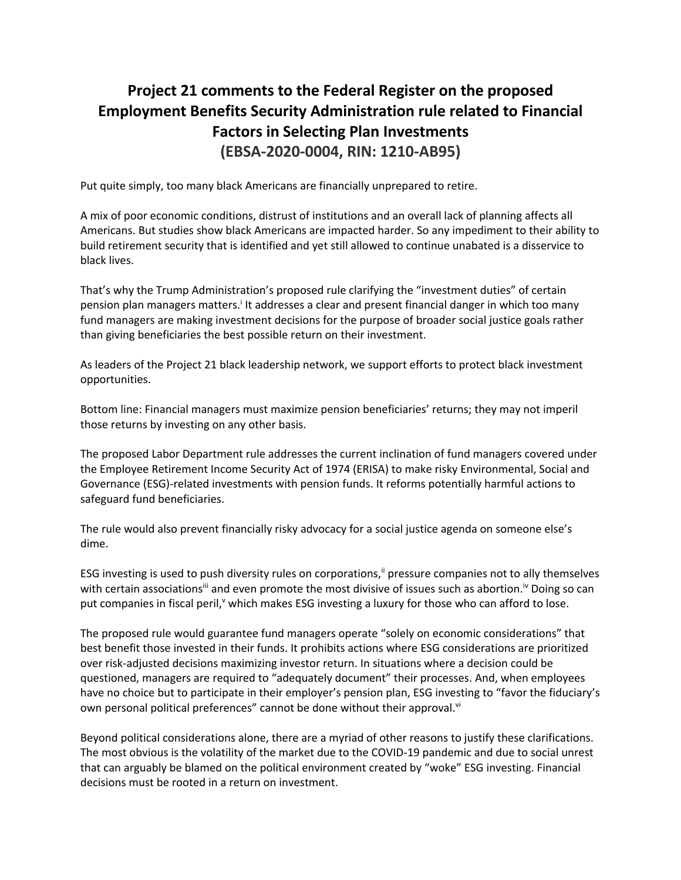## **Project 21 comments to the Federal Register on the proposed Employment Benefits Security Administration rule related to Financial Factors in Selecting Plan Investments (EBSA-2020-0004, RIN: 1210-AB95)**

Put quite simply, too many black Americans are financially unprepared to retire.

A mix of poor economic conditions, distrust of institutions and an overall lack of planning affects all Americans. But studies show black Americans are impacted harder. So any impediment to their ability to build retirement security that is identified and yet still allowed to continue unabated is a disservice to black lives.

That's why the Trump Administration's proposed rule clarifying the "investment duties" of certain pension plan managers matters.<sup>i</sup> It addresses a clear and present financial danger in which too many fund managers are making investment decisions for the purpose of broader social justice goals rather than giving beneficiaries the best possible return on their investment.

As leaders of the Project 21 black leadership network, we support efforts to protect black investment opportunities.

Bottom line: Financial managers must maximize pension beneficiaries' returns; they may not imperil those returns by investing on any other basis.

The proposed Labor Department rule addresses the current inclination of fund managers covered under the Employee Retirement Income Security Act of 1974 (ERISA) to make risky Environmental, Social and Governance (ESG)-related investments with pension funds. It reforms potentially harmful actions to safeguard fund beneficiaries.

The rule would also prevent financially risky advocacy for a social justice agenda on someone else's dime.

ESG investing is used to push diversity rules on corporations," pressure companies not to ally themselves with certain associations<sup>iii</sup> and even promote the most divisive of issues such as abortion.<sup>Iv</sup> Doing so can put companies in fiscal peril,<sup>v</sup> which makes ESG investing a luxury for those who can afford to lose.

The proposed rule would guarantee fund managers operate "solely on economic considerations" that best benefit those invested in their funds. It prohibits actions where ESG considerations are prioritized over risk-adjusted decisions maximizing investor return. In situations where a decision could be questioned, managers are required to "adequately document" their processes. And, when employees have no choice but to participate in their employer's pension plan, ESG investing to "favor the fiduciary's own personal political preferences" cannot be done without their approval.<sup>vi</sup>

Beyond political considerations alone, there are a myriad of other reasons to justify these clarifications. The most obvious is the volatility of the market due to the COVID-19 pandemic and due to social unrest that can arguably be blamed on the political environment created by "woke" ESG investing. Financial decisions must be rooted in a return on investment.